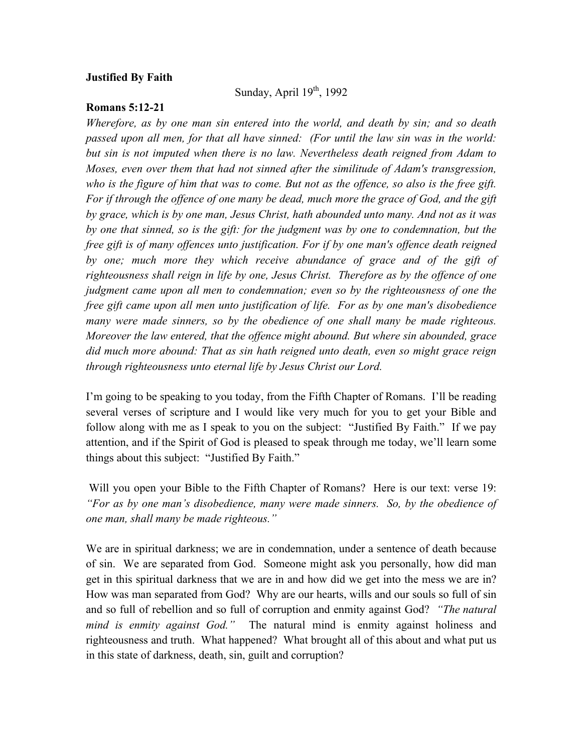## **Justified By Faith**

Sunday, April  $19<sup>th</sup>$ , 1992

## **Romans 5:12-21**

*Wherefore, as by one man sin entered into the world, and death by sin; and so death passed upon all men, for that all have sinned: (For until the law sin was in the world: but sin is not imputed when there is no law. Nevertheless death reigned from Adam to Moses, even over them that had not sinned after the similitude of Adam's transgression, who is the figure of him that was to come. But not as the offence, so also is the free gift. For if through the offence of one many be dead, much more the grace of God, and the gift by grace, which is by one man, Jesus Christ, hath abounded unto many. And not as it was by one that sinned, so is the gift: for the judgment was by one to condemnation, but the free gift is of many offences unto justification. For if by one man's offence death reigned*  by one; much more they which receive abundance of grace and of the gift of *righteousness shall reign in life by one, Jesus Christ. Therefore as by the offence of one judgment came upon all men to condemnation; even so by the righteousness of one the free gift came upon all men unto justification of life. For as by one man's disobedience many were made sinners, so by the obedience of one shall many be made righteous. Moreover the law entered, that the offence might abound. But where sin abounded, grace did much more abound: That as sin hath reigned unto death, even so might grace reign through righteousness unto eternal life by Jesus Christ our Lord.*

I'm going to be speaking to you today, from the Fifth Chapter of Romans. I'll be reading several verses of scripture and I would like very much for you to get your Bible and follow along with me as I speak to you on the subject: "Justified By Faith." If we pay attention, and if the Spirit of God is pleased to speak through me today, we'll learn some things about this subject: "Justified By Faith."

Will you open your Bible to the Fifth Chapter of Romans? Here is our text: verse 19: *"For as by one man's disobedience, many were made sinners. So, by the obedience of one man, shall many be made righteous."*

We are in spiritual darkness; we are in condemnation, under a sentence of death because of sin. We are separated from God. Someone might ask you personally, how did man get in this spiritual darkness that we are in and how did we get into the mess we are in? How was man separated from God? Why are our hearts, wills and our souls so full of sin and so full of rebellion and so full of corruption and enmity against God? *"The natural mind is enmity against God."* The natural mind is enmity against holiness and righteousness and truth. What happened? What brought all of this about and what put us in this state of darkness, death, sin, guilt and corruption?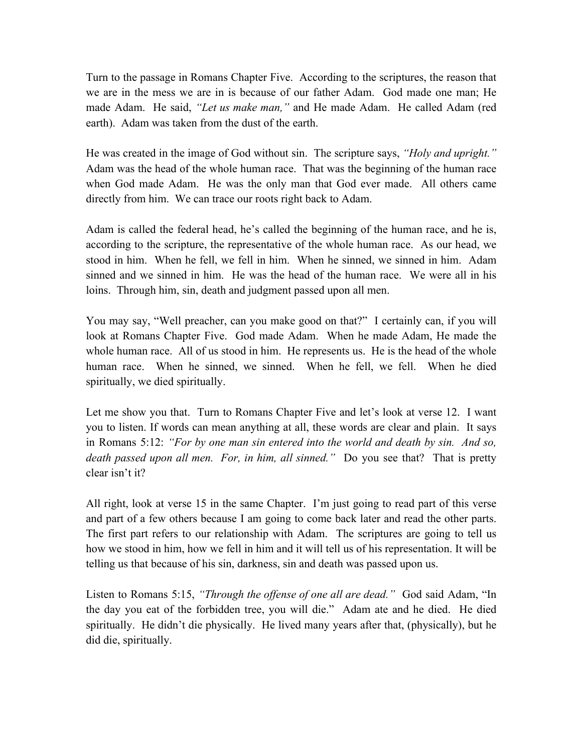Turn to the passage in Romans Chapter Five. According to the scriptures, the reason that we are in the mess we are in is because of our father Adam. God made one man; He made Adam. He said, *"Let us make man,"* and He made Adam. He called Adam (red earth). Adam was taken from the dust of the earth.

He was created in the image of God without sin. The scripture says, *"Holy and upright."* Adam was the head of the whole human race. That was the beginning of the human race when God made Adam. He was the only man that God ever made. All others came directly from him. We can trace our roots right back to Adam.

Adam is called the federal head, he's called the beginning of the human race, and he is, according to the scripture, the representative of the whole human race. As our head, we stood in him. When he fell, we fell in him. When he sinned, we sinned in him. Adam sinned and we sinned in him. He was the head of the human race. We were all in his loins. Through him, sin, death and judgment passed upon all men.

You may say, "Well preacher, can you make good on that?" I certainly can, if you will look at Romans Chapter Five. God made Adam. When he made Adam, He made the whole human race. All of us stood in him. He represents us. He is the head of the whole human race. When he sinned, we sinned. When he fell, we fell. When he died spiritually, we died spiritually.

Let me show you that. Turn to Romans Chapter Five and let's look at verse 12. I want you to listen. If words can mean anything at all, these words are clear and plain. It says in Romans 5:12: *"For by one man sin entered into the world and death by sin. And so, death passed upon all men. For, in him, all sinned."* Do you see that? That is pretty clear isn't it?

All right, look at verse 15 in the same Chapter. I'm just going to read part of this verse and part of a few others because I am going to come back later and read the other parts. The first part refers to our relationship with Adam. The scriptures are going to tell us how we stood in him, how we fell in him and it will tell us of his representation. It will be telling us that because of his sin, darkness, sin and death was passed upon us.

Listen to Romans 5:15, *"Through the offense of one all are dead."* God said Adam, "In the day you eat of the forbidden tree, you will die." Adam ate and he died. He died spiritually. He didn't die physically. He lived many years after that, (physically), but he did die, spiritually.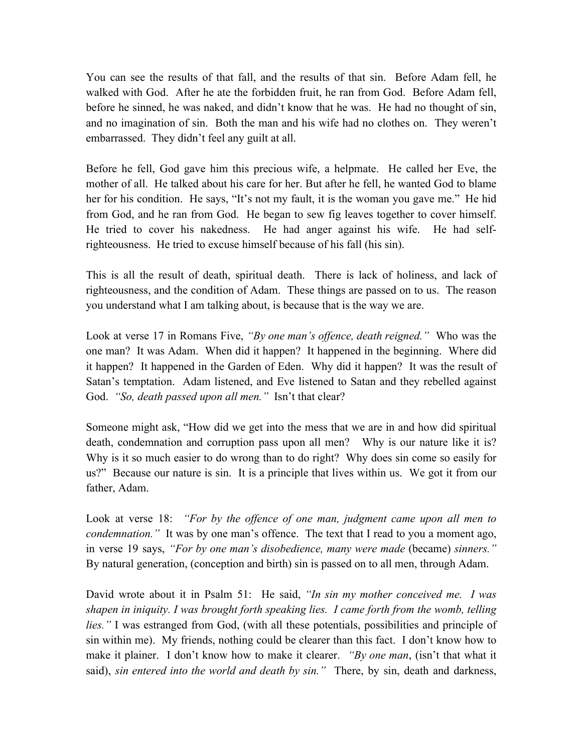You can see the results of that fall, and the results of that sin. Before Adam fell, he walked with God. After he ate the forbidden fruit, he ran from God. Before Adam fell, before he sinned, he was naked, and didn't know that he was. He had no thought of sin, and no imagination of sin. Both the man and his wife had no clothes on. They weren't embarrassed. They didn't feel any guilt at all.

Before he fell, God gave him this precious wife, a helpmate. He called her Eve, the mother of all. He talked about his care for her. But after he fell, he wanted God to blame her for his condition. He says, "It's not my fault, it is the woman you gave me."He hid from God, and he ran from God. He began to sew fig leaves together to cover himself. He tried to cover his nakedness. He had anger against his wife. He had selfrighteousness. He tried to excuse himself because of his fall (his sin).

This is all the result of death, spiritual death. There is lack of holiness, and lack of righteousness, and the condition of Adam. These things are passed on to us. The reason you understand what I am talking about, is because that is the way we are.

Look at verse 17 in Romans Five, *"By one man's offence, death reigned."* Who was the one man? It was Adam. When did it happen? It happened in the beginning. Where did it happen? It happened in the Garden of Eden. Why did it happen? It was the result of Satan's temptation. Adam listened, and Eve listened to Satan and they rebelled against God. *"So, death passed upon all men."* Isn't that clear?

Someone might ask, "How did we get into the mess that we are in and how did spiritual death, condemnation and corruption pass upon all men? Why is our nature like it is? Why is it so much easier to do wrong than to do right? Why does sin come so easily for us?" Because our nature is sin. It is a principle that lives within us. We got it from our father, Adam.

Look at verse 18: *"For by the offence of one man, judgment came upon all men to condemnation.*" It was by one man's offence. The text that I read to you a moment ago, in verse 19 says, *"For by one man's disobedience, many were made* (became) *sinners."* By natural generation, (conception and birth) sin is passed on to all men, through Adam.

David wrote about it in Psalm 51: He said, *"In sin my mother conceived me. I was shapen in iniquity. I was brought forth speaking lies. I came forth from the womb, telling lies."* I was estranged from God, (with all these potentials, possibilities and principle of sin within me). My friends, nothing could be clearer than this fact. I don't know how to make it plainer. I don't know how to make it clearer. *"By one man*, (isn't that what it said), *sin entered into the world and death by sin."* There, by sin, death and darkness,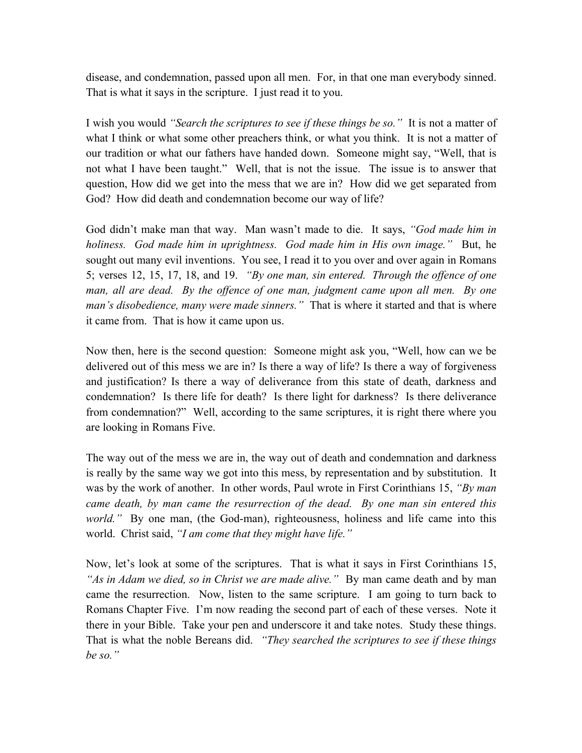disease, and condemnation, passed upon all men. For, in that one man everybody sinned. That is what it says in the scripture. I just read it to you.

I wish you would *"Search the scriptures to see if these things be so."* It is not a matter of what I think or what some other preachers think, or what you think. It is not a matter of our tradition or what our fathers have handed down. Someone might say, "Well, that is not what I have been taught." Well, that is not the issue. The issue is to answer that question, How did we get into the mess that we are in? How did we get separated from God? How did death and condemnation become our way of life?

God didn't make man that way. Man wasn't made to die. It says, *"God made him in holiness. God made him in uprightness. God made him in His own image."* But, he sought out many evil inventions. You see, I read it to you over and over again in Romans 5; verses 12, 15, 17, 18, and 19. *"By one man, sin entered. Through the offence of one man, all are dead. By the offence of one man, judgment came upon all men. By one man's disobedience, many were made sinners."* That is where it started and that is where it came from. That is how it came upon us.

Now then, here is the second question: Someone might ask you, "Well, how can we be delivered out of this mess we are in? Is there a way of life? Is there a way of forgiveness and justification? Is there a way of deliverance from this state of death, darkness and condemnation? Is there life for death? Is there light for darkness? Is there deliverance from condemnation?" Well, according to the same scriptures, it is right there where you are looking in Romans Five.

The way out of the mess we are in, the way out of death and condemnation and darkness is really by the same way we got into this mess, by representation and by substitution. It was by the work of another. In other words, Paul wrote in First Corinthians 15, *"By man came death, by man came the resurrection of the dead. By one man sin entered this world.*" By one man, (the God-man), righteousness, holiness and life came into this world. Christ said, *"I am come that they might have life."* 

Now, let's look at some of the scriptures. That is what it says in First Corinthians 15, *"As in Adam we died, so in Christ we are made alive."* By man came death and by man came the resurrection. Now, listen to the same scripture. I am going to turn back to Romans Chapter Five. I'm now reading the second part of each of these verses. Note it there in your Bible. Take your pen and underscore it and take notes. Study these things. That is what the noble Bereans did. *"They searched the scriptures to see if these things be so."*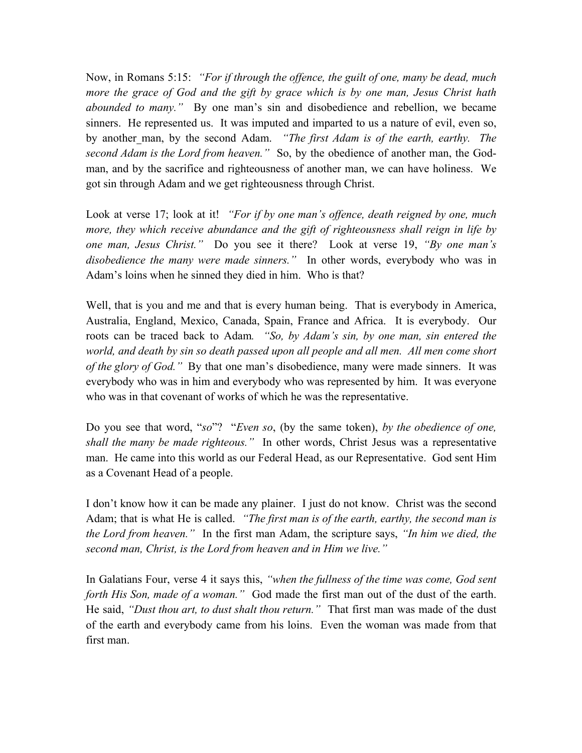Now, in Romans 5:15: *"For if through the offence, the guilt of one, many be dead, much more the grace of God and the gift by grace which is by one man, Jesus Christ hath abounded to many."* By one man's sin and disobedience and rebellion, we became sinners. He represented us. It was imputed and imparted to us a nature of evil, even so, by another man, by the second Adam. *"The first Adam is of the earth, earthy. The second Adam is the Lord from heaven."* So, by the obedience of another man, the Godman, and by the sacrifice and righteousness of another man, we can have holiness. We got sin through Adam and we get righteousness through Christ.

Look at verse 17; look at it! *"For if by one man's offence, death reigned by one, much more, they which receive abundance and the gift of righteousness shall reign in life by one man, Jesus Christ."* Do you see it there? Look at verse 19, *"By one man's disobedience the many were made sinners."* In other words, everybody who was in Adam's loins when he sinned they died in him. Who is that?

Well, that is you and me and that is every human being. That is everybody in America, Australia, England, Mexico, Canada, Spain, France and Africa. It is everybody. Our roots can be traced back to Adam*. "So, by Adam's sin, by one man, sin entered the world, and death by sin so death passed upon all people and all men. All men come short of the glory of God."* By that one man's disobedience, many were made sinners. It was everybody who was in him and everybody who was represented by him. It was everyone who was in that covenant of works of which he was the representative.

Do you see that word, "*so*"? "*Even so*, (by the same token), *by the obedience of one, shall the many be made righteous."* In other words, Christ Jesus was a representative man. He came into this world as our Federal Head, as our Representative. God sent Him as a Covenant Head of a people.

I don't know how it can be made any plainer. I just do not know. Christ was the second Adam; that is what He is called. *"The first man is of the earth, earthy, the second man is the Lord from heaven."* In the first man Adam, the scripture says, *"In him we died, the second man, Christ, is the Lord from heaven and in Him we live."*

In Galatians Four, verse 4 it says this, *"when the fullness of the time was come, God sent forth His Son, made of a woman."* God made the first man out of the dust of the earth. He said, *"Dust thou art, to dust shalt thou return."* That first man was made of the dust of the earth and everybody came from his loins. Even the woman was made from that first man.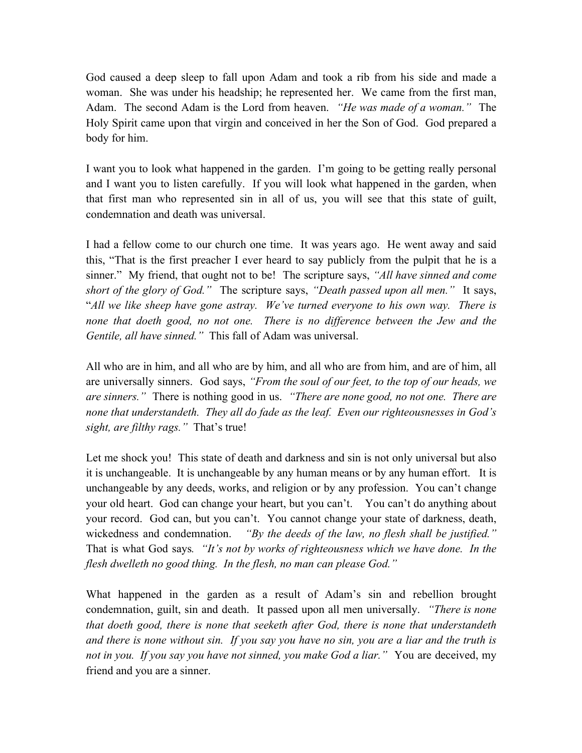God caused a deep sleep to fall upon Adam and took a rib from his side and made a woman. She was under his headship; he represented her. We came from the first man, Adam. The second Adam is the Lord from heaven. *"He was made of a woman."* The Holy Spirit came upon that virgin and conceived in her the Son of God. God prepared a body for him.

I want you to look what happened in the garden. I'm going to be getting really personal and I want you to listen carefully. If you will look what happened in the garden, when that first man who represented sin in all of us, you will see that this state of guilt, condemnation and death was universal.

I had a fellow come to our church one time. It was years ago. He went away and said this, "That is the first preacher I ever heard to say publicly from the pulpit that he is a sinner." My friend, that ought not to be! The scripture says, *"All have sinned and come short of the glory of God."* The scripture says, *"Death passed upon all men."* It says, "*All we like sheep have gone astray. We've turned everyone to his own way. There is none that doeth good, no not one. There is no difference between the Jew and the Gentile, all have sinned."* This fall of Adam was universal.

All who are in him, and all who are by him, and all who are from him, and are of him, all are universally sinners. God says, *"From the soul of our feet, to the top of our heads, we are sinners."* There is nothing good in us. *"There are none good, no not one. There are none that understandeth. They all do fade as the leaf. Even our righteousnesses in God's sight, are filthy rags."* That's true!

Let me shock you! This state of death and darkness and sin is not only universal but also it is unchangeable. It is unchangeable by any human means or by any human effort. It is unchangeable by any deeds, works, and religion or by any profession. You can't change your old heart. God can change your heart, but you can't. You can't do anything about your record. God can, but you can't. You cannot change your state of darkness, death, wickedness and condemnation. *"By the deeds of the law, no flesh shall be justified."*  That is what God says*. "It's not by works of righteousness which we have done. In the flesh dwelleth no good thing. In the flesh, no man can please God."* 

What happened in the garden as a result of Adam's sin and rebellion brought condemnation, guilt, sin and death. It passed upon all men universally. *"There is none that doeth good, there is none that seeketh after God, there is none that understandeth and there is none without sin. If you say you have no sin, you are a liar and the truth is not in you. If you say you have not sinned, you make God a liar."* You are deceived, my friend and you are a sinner.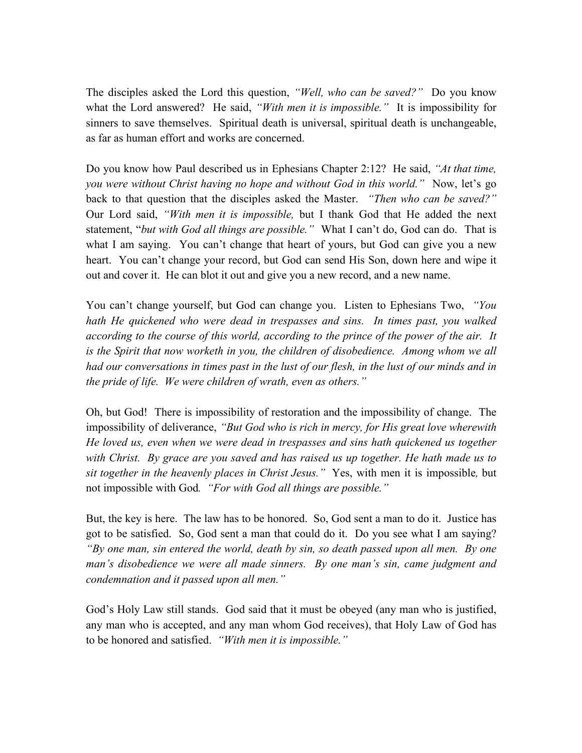The disciples asked the Lord this question, *"Well, who can be saved?"* Do you know what the Lord answered? He said, *"With men it is impossible."* It is impossibility for sinners to save themselves. Spiritual death is universal, spiritual death is unchangeable, as far as human effort and works are concerned.

Do you know how Paul described us in Ephesians Chapter 2:12? He said, *"At that time, you were without Christ having no hope and without God in this world."* Now, let's go back to that question that the disciples asked the Master. *"Then who can be saved?"* Our Lord said, *"With men it is impossible,* but I thank God that He added the next statement, "*but with God all things are possible."* What I can't do, God can do. That is what I am saying. You can't change that heart of yours, but God can give you a new heart. You can't change your record, but God can send His Son, down here and wipe it out and cover it. He can blot it out and give you a new record, and a new name.

You can't change yourself, but God can change you. Listen to Ephesians Two, *"You hath He quickened who were dead in trespasses and sins. In times past, you walked according to the course of this world, according to the prince of the power of the air. It is the Spirit that now worketh in you, the children of disobedience. Among whom we all had our conversations in times past in the lust of our flesh, in the lust of our minds and in the pride of life. We were children of wrath, even as others."* 

Oh, but God! There is impossibility of restoration and the impossibility of change. The impossibility of deliverance, *"But God who is rich in mercy, for His great love wherewith He loved us, even when we were dead in trespasses and sins hath quickened us together with Christ. By grace are you saved and has raised us up together. He hath made us to sit together in the heavenly places in Christ Jesus."* Yes, with men it is impossible*,* but not impossible with God*. "For with God all things are possible."* 

But, the key is here. The law has to be honored. So, God sent a man to do it. Justice has got to be satisfied. So, God sent a man that could do it. Do you see what I am saying? *"By one man, sin entered the world, death by sin, so death passed upon all men. By one man's disobedience we were all made sinners. By one man's sin, came judgment and condemnation and it passed upon all men."*

God's Holy Law still stands. God said that it must be obeyed (any man who is justified, any man who is accepted, and any man whom God receives), that Holy Law of God has to be honored and satisfied. *"With men it is impossible."*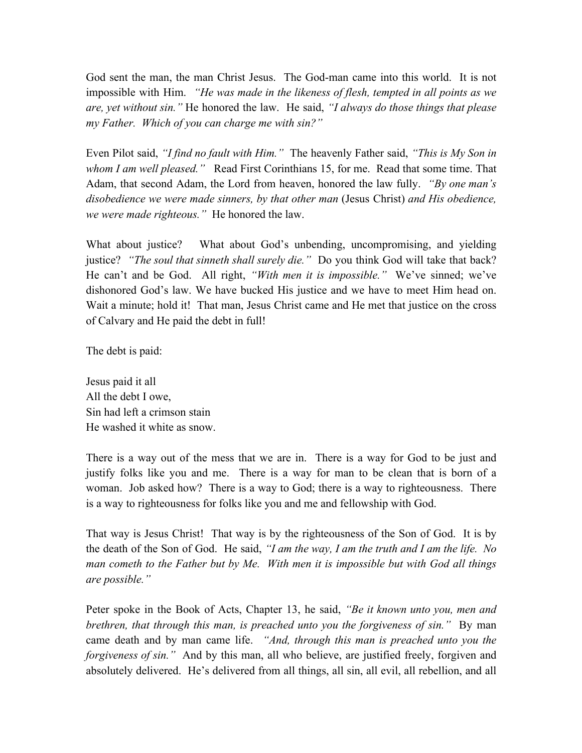God sent the man, the man Christ Jesus. The God-man came into this world. It is not impossible with Him. *"He was made in the likeness of flesh, tempted in all points as we are, yet without sin."* He honored the law. He said, *"I always do those things that please my Father. Which of you can charge me with sin?"*

Even Pilot said, *"I find no fault with Him."* The heavenly Father said, *"This is My Son in whom I am well pleased."* Read First Corinthians 15, for me. Read that some time. That Adam, that second Adam, the Lord from heaven, honored the law fully. *"By one man's disobedience we were made sinners, by that other man* (Jesus Christ) *and His obedience, we were made righteous."* He honored the law.

What about justice? What about God's unbending, uncompromising, and yielding justice? *"The soul that sinneth shall surely die."* Do you think God will take that back? He can't and be God. All right, *"With men it is impossible."* We've sinned; we've dishonored God's law. We have bucked His justice and we have to meet Him head on. Wait a minute; hold it! That man, Jesus Christ came and He met that justice on the cross of Calvary and He paid the debt in full!

The debt is paid:

Jesus paid it all All the debt I owe, Sin had left a crimson stain He washed it white as snow.

There is a way out of the mess that we are in. There is a way for God to be just and justify folks like you and me. There is a way for man to be clean that is born of a woman. Job asked how? There is a way to God; there is a way to righteousness. There is a way to righteousness for folks like you and me and fellowship with God.

That way is Jesus Christ! That way is by the righteousness of the Son of God. It is by the death of the Son of God. He said, *"I am the way, I am the truth and I am the life. No man cometh to the Father but by Me. With men it is impossible but with God all things are possible."*

Peter spoke in the Book of Acts, Chapter 13, he said, *"Be it known unto you, men and brethren, that through this man, is preached unto you the forgiveness of sin."* By man came death and by man came life. *"And, through this man is preached unto you the forgiveness of sin.*" And by this man, all who believe, are justified freely, forgiven and absolutely delivered. He's delivered from all things, all sin, all evil, all rebellion, and all